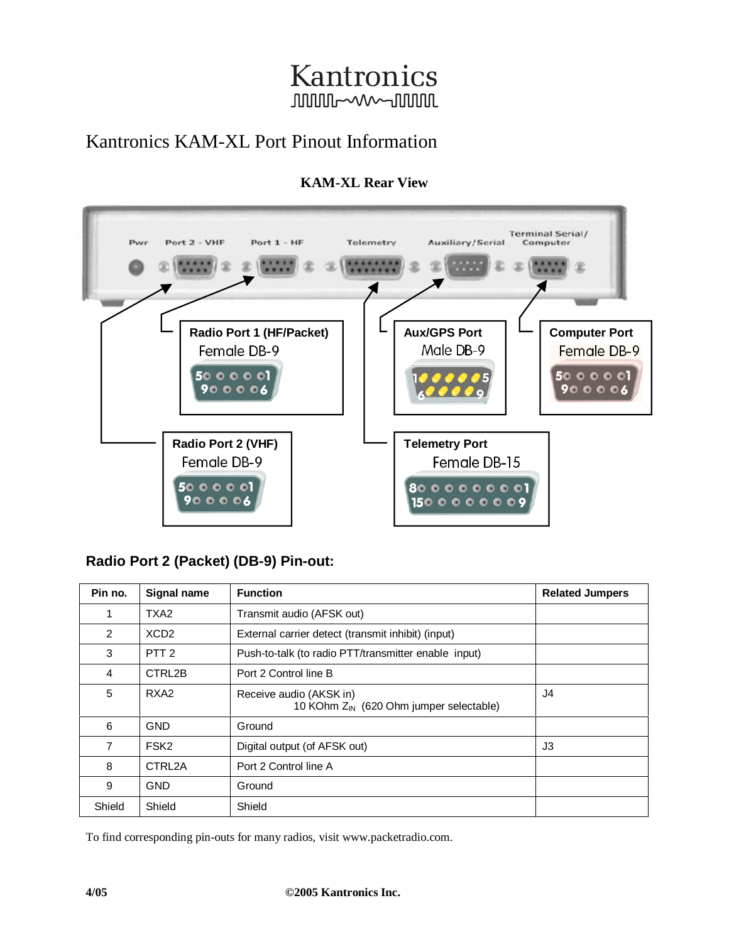## Kantronics **JUUUL~W~JUUUL**

## Kantronics KAM-XL Port Pinout Information



#### **KAM-XL Rear View**

### **Radio Port 2 (Packet) (DB-9) Pin-out:**

| Pin no. | Signal name      | <b>Function</b>                                                                | <b>Related Jumpers</b> |
|---------|------------------|--------------------------------------------------------------------------------|------------------------|
|         | TXA <sub>2</sub> | Transmit audio (AFSK out)                                                      |                        |
| 2       | XCD <sub>2</sub> | External carrier detect (transmit inhibit) (input)                             |                        |
| 3       | PTT <sub>2</sub> | Push-to-talk (to radio PTT/transmitter enable input)                           |                        |
| 4       | CTRL2B           | Port 2 Control line B                                                          |                        |
| 5       | RXA <sub>2</sub> | Receive audio (AKSK in)<br>10 KOhm Z <sub>IN</sub> (620 Ohm jumper selectable) | J4                     |
| 6       | <b>GND</b>       | Ground                                                                         |                        |
| 7       | FSK <sub>2</sub> | Digital output (of AFSK out)                                                   | J3                     |
| 8       | CTRL2A           | Port 2 Control line A                                                          |                        |
| 9       | <b>GND</b>       | Ground                                                                         |                        |
| Shield  | Shield           | Shield                                                                         |                        |

To find corresponding pin-outs for many radios, visit www.packetradio.com.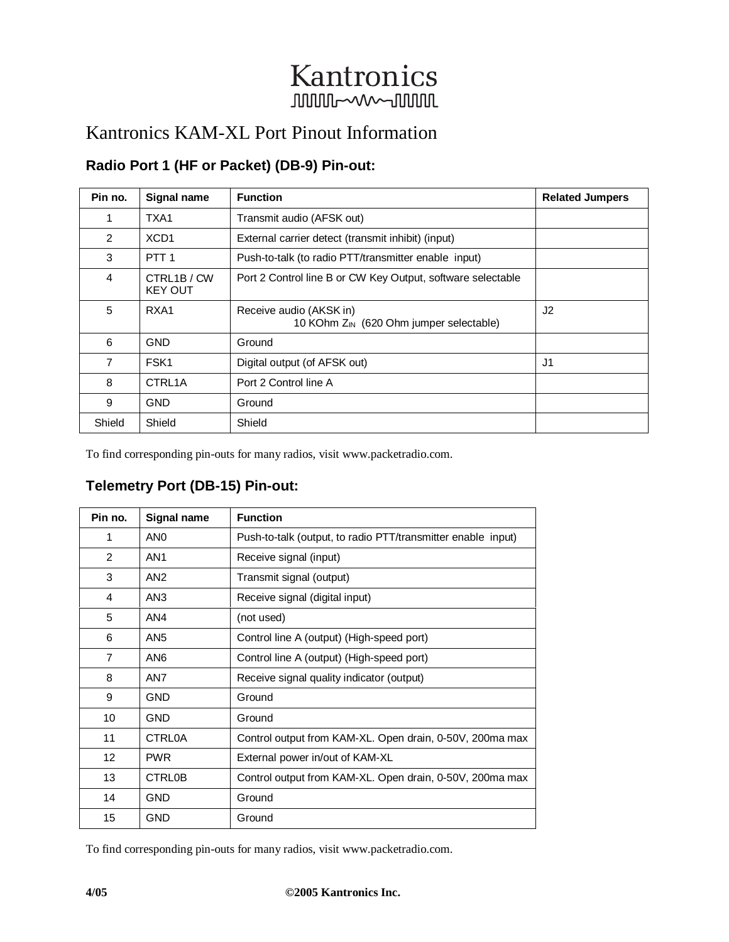# Kantronics **JUULUL-WWW-JUULUL**

### Kantronics KAM-XL Port Pinout Information

### **Radio Port 1 (HF or Packet) (DB-9) Pin-out:**

| Pin no.        | Signal name                 | <b>Function</b>                                                                | <b>Related Jumpers</b> |
|----------------|-----------------------------|--------------------------------------------------------------------------------|------------------------|
| 1              | TXA1                        | Transmit audio (AFSK out)                                                      |                        |
| $\mathcal{P}$  | XCD <sub>1</sub>            | External carrier detect (transmit inhibit) (input)                             |                        |
| 3              | PTT <sub>1</sub>            | Push-to-talk (to radio PTT/transmitter enable input)                           |                        |
| 4              | CTRL1B/CW<br><b>KEY OUT</b> | Port 2 Control line B or CW Key Output, software selectable                    |                        |
| 5              | RXA1                        | Receive audio (AKSK in)<br>10 KOhm $Z_{\text{IN}}$ (620 Ohm jumper selectable) | J <sub>2</sub>         |
| 6              | <b>GND</b>                  | Ground                                                                         |                        |
| $\overline{7}$ | FSK <sub>1</sub>            | Digital output (of AFSK out)                                                   | J1                     |
| 8              | CTRL <sub>1</sub> A         | Port 2 Control line A                                                          |                        |
| 9              | <b>GND</b>                  | Ground                                                                         |                        |
| Shield         | Shield                      | Shield                                                                         |                        |

To find corresponding pin-outs for many radios, visit www.packetradio.com.

### **Telemetry Port (DB-15) Pin-out:**

| Pin no.        | Signal name     | <b>Function</b>                                              |
|----------------|-----------------|--------------------------------------------------------------|
| 1              | AN <sub>0</sub> | Push-to-talk (output, to radio PTT/transmitter enable input) |
| 2              | AN <sub>1</sub> | Receive signal (input)                                       |
| 3              | AN <sub>2</sub> | Transmit signal (output)                                     |
| 4              | AN <sub>3</sub> | Receive signal (digital input)                               |
| 5              | AN4             | (not used)                                                   |
| 6              | AN <sub>5</sub> | Control line A (output) (High-speed port)                    |
| $\overline{7}$ | AN <sub>6</sub> | Control line A (output) (High-speed port)                    |
| 8              | AN7             | Receive signal quality indicator (output)                    |
| 9              | <b>GND</b>      | Ground                                                       |
| 10             | <b>GND</b>      | Ground                                                       |
| 11             | <b>CTRL0A</b>   | Control output from KAM-XL. Open drain, 0-50V, 200ma max     |
| 12             | <b>PWR</b>      | External power in/out of KAM-XL                              |
| 13             | <b>CTRL0B</b>   | Control output from KAM-XL. Open drain, 0-50V, 200ma max     |
| 14             | <b>GND</b>      | Ground                                                       |
| 15             | <b>GND</b>      | Ground                                                       |

To find corresponding pin-outs for many radios, visit www.packetradio.com.